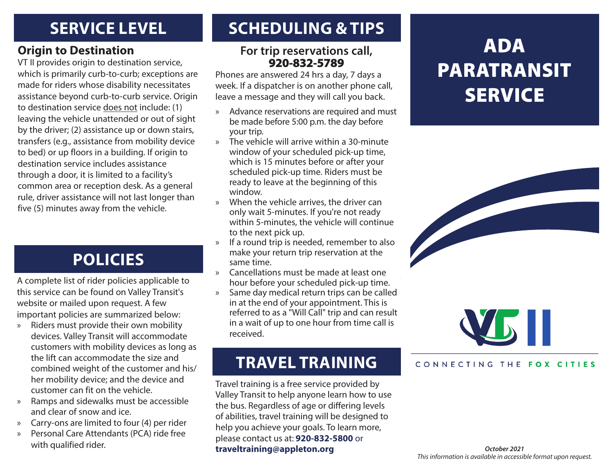### **SERVICE LEVEL**

#### **Origin to Destination**

VT II provides origin to destination service, which is primarily curb-to-curb; exceptions are made for riders whose disability necessitates assistance beyond curb-to-curb service. Origin to destination service does not include: (1) leaving the vehicle unattended or out of sight by the driver; (2) assistance up or down stairs, transfers (e.g., assistance from mobility device to bed) or up floors in a building. If origin to destination service includes assistance through a door, it is limited to a facility's common area or reception desk. As a general rule, driver assistance will not last longer than five (5) minutes away from the vehicle.

### **POLICIES**

A complete list of rider policies applicable to this service can be found on Valley Transit's website or mailed upon request. A few important policies are summarized below:

- » Riders must provide their own mobility devices. Valley Transit will accommodate customers with mobility devices as long as the lift can accommodate the size and combined weight of the customer and his/ her mobility device; and the device and customer can fit on the vehicle.
- » Ramps and sidewalks must be accessible and clear of snow and ice.
- » Carry-ons are limited to four (4) per rider
- » Personal Care Attendants (PCA) ride free with qualified rider.

### **SCHEDULING & TIPS**

#### **For trip reservations call,**  920-832-5789

Phones are answered 24 hrs a day, 7 days a week. If a dispatcher is on another phone call, leave a message and they will call you back.

- » Advance reservations are required and must be made before 5:00 p.m. the day before your trip.
- » The vehicle will arrive within a 30-minute window of your scheduled pick-up time, which is 15 minutes before or after your scheduled pick-up time. Riders must be ready to leave at the beginning of this window.
- » When the vehicle arrives, the driver can only wait 5-minutes. If you're not ready within 5-minutes, the vehicle will continue to the next pick up.
- » If a round trip is needed, remember to also make your return trip reservation at the same time.
- » Cancellations must be made at least one hour before your scheduled pick-up time.
- » Same day medical return trips can be called in at the end of your appointment. This is referred to as a "Will Call" trip and can result in a wait of up to one hour from time call is received.

### **TRAVEL TRAINING**

Travel training is a free service provided by Valley Transit to help anyone learn how to use the bus. Regardless of age or differing levels of abilities, travel training will be designed to help you achieve your goals. To learn more, please contact us at: **920-832-5800** or **traveltraining@appleton.org**

# ADA PARATRANSIT **SERVICE**





#### CONNECTING THE FOX CITIES